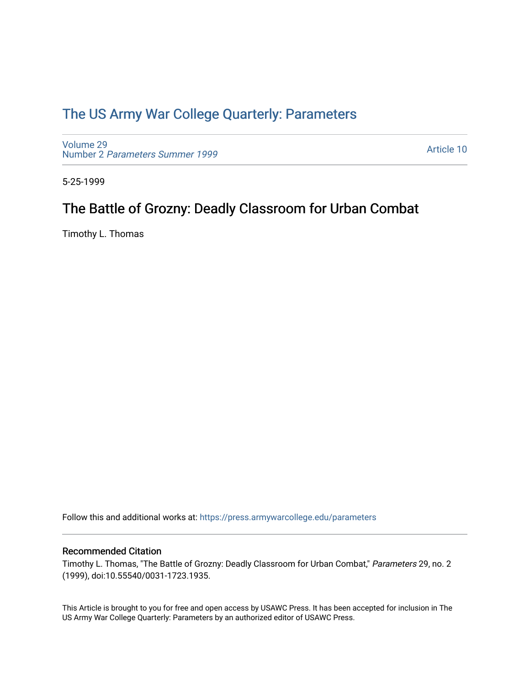# [The US Army War College Quarterly: Parameters](https://press.armywarcollege.edu/parameters)

[Volume 29](https://press.armywarcollege.edu/parameters/vol29) Number 2 [Parameters Summer 1999](https://press.armywarcollege.edu/parameters/vol29/iss2) 

[Article 10](https://press.armywarcollege.edu/parameters/vol29/iss2/10) 

5-25-1999

# The Battle of Grozny: Deadly Classroom for Urban Combat

Timothy L. Thomas

Follow this and additional works at: [https://press.armywarcollege.edu/parameters](https://press.armywarcollege.edu/parameters?utm_source=press.armywarcollege.edu%2Fparameters%2Fvol29%2Fiss2%2F10&utm_medium=PDF&utm_campaign=PDFCoverPages) 

#### Recommended Citation

Timothy L. Thomas, "The Battle of Grozny: Deadly Classroom for Urban Combat," Parameters 29, no. 2 (1999), doi:10.55540/0031-1723.1935.

This Article is brought to you for free and open access by USAWC Press. It has been accepted for inclusion in The US Army War College Quarterly: Parameters by an authorized editor of USAWC Press.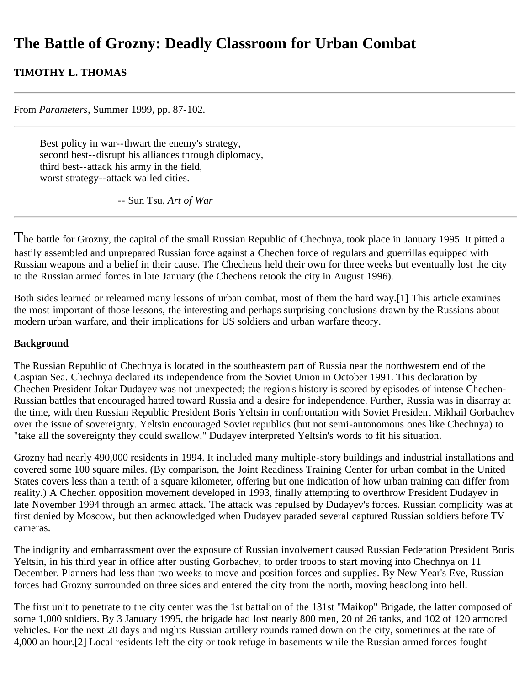# **The Battle of Grozny: Deadly Classroom for Urban Combat**

#### **TIMOTHY L. THOMAS**

From *Parameters*, Summer 1999, pp. 87-102.

Best policy in war--thwart the enemy's strategy, second best--disrupt his alliances through diplomacy, third best--attack his army in the field, worst strategy--attack walled cities.

-- Sun Tsu, *Art of War*

The battle for Grozny, the capital of the small Russian Republic of Chechnya, took place in January 1995. It pitted a hastily assembled and unprepared Russian force against a Chechen force of regulars and guerrillas equipped with Russian weapons and a belief in their cause. The Chechens held their own for three weeks but eventually lost the city to the Russian armed forces in late January (the Chechens retook the city in August 1996).

Both sides learned or relearned many lessons of urban combat, most of them the hard way.[1] This article examines the most important of those lessons, the interesting and perhaps surprising conclusions drawn by the Russians about modern urban warfare, and their implications for US soldiers and urban warfare theory.

#### **Background**

The Russian Republic of Chechnya is located in the southeastern part of Russia near the northwestern end of the Caspian Sea. Chechnya declared its independence from the Soviet Union in October 1991. This declaration by Chechen President Jokar Dudayev was not unexpected; the region's history is scored by episodes of intense Chechen-Russian battles that encouraged hatred toward Russia and a desire for independence. Further, Russia was in disarray at the time, with then Russian Republic President Boris Yeltsin in confrontation with Soviet President Mikhail Gorbachev over the issue of sovereignty. Yeltsin encouraged Soviet republics (but not semi-autonomous ones like Chechnya) to "take all the sovereignty they could swallow." Dudayev interpreted Yeltsin's words to fit his situation.

Grozny had nearly 490,000 residents in 1994. It included many multiple-story buildings and industrial installations and covered some 100 square miles. (By comparison, the Joint Readiness Training Center for urban combat in the United States covers less than a tenth of a square kilometer, offering but one indication of how urban training can differ from reality.) A Chechen opposition movement developed in 1993, finally attempting to overthrow President Dudayev in late November 1994 through an armed attack. The attack was repulsed by Dudayev's forces. Russian complicity was at first denied by Moscow, but then acknowledged when Dudayev paraded several captured Russian soldiers before TV cameras.

The indignity and embarrassment over the exposure of Russian involvement caused Russian Federation President Boris Yeltsin, in his third year in office after ousting Gorbachev, to order troops to start moving into Chechnya on 11 December. Planners had less than two weeks to move and position forces and supplies. By New Year's Eve, Russian forces had Grozny surrounded on three sides and entered the city from the north, moving headlong into hell.

The first unit to penetrate to the city center was the 1st battalion of the 131st "Maikop" Brigade, the latter composed of some 1,000 soldiers. By 3 January 1995, the brigade had lost nearly 800 men, 20 of 26 tanks, and 102 of 120 armored vehicles. For the next 20 days and nights Russian artillery rounds rained down on the city, sometimes at the rate of 4,000 an hour.[2] Local residents left the city or took refuge in basements while the Russian armed forces fought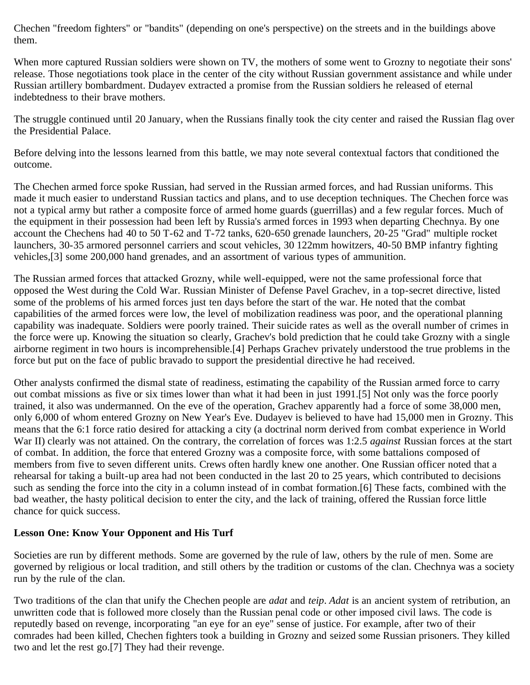Chechen "freedom fighters" or "bandits" (depending on one's perspective) on the streets and in the buildings above them.

When more captured Russian soldiers were shown on TV, the mothers of some went to Grozny to negotiate their sons' release. Those negotiations took place in the center of the city without Russian government assistance and while under Russian artillery bombardment. Dudayev extracted a promise from the Russian soldiers he released of eternal indebtedness to their brave mothers.

The struggle continued until 20 January, when the Russians finally took the city center and raised the Russian flag over the Presidential Palace.

Before delving into the lessons learned from this battle, we may note several contextual factors that conditioned the outcome.

The Chechen armed force spoke Russian, had served in the Russian armed forces, and had Russian uniforms. This made it much easier to understand Russian tactics and plans, and to use deception techniques. The Chechen force was not a typical army but rather a composite force of armed home guards (guerrillas) and a few regular forces. Much of the equipment in their possession had been left by Russia's armed forces in 1993 when departing Chechnya. By one account the Chechens had 40 to 50 T-62 and T-72 tanks, 620-650 grenade launchers, 20-25 "Grad" multiple rocket launchers, 30-35 armored personnel carriers and scout vehicles, 30 122mm howitzers, 40-50 BMP infantry fighting vehicles,[3] some 200,000 hand grenades, and an assortment of various types of ammunition.

The Russian armed forces that attacked Grozny, while well-equipped, were not the same professional force that opposed the West during the Cold War. Russian Minister of Defense Pavel Grachev, in a top-secret directive, listed some of the problems of his armed forces just ten days before the start of the war. He noted that the combat capabilities of the armed forces were low, the level of mobilization readiness was poor, and the operational planning capability was inadequate. Soldiers were poorly trained. Their suicide rates as well as the overall number of crimes in the force were up. Knowing the situation so clearly, Grachev's bold prediction that he could take Grozny with a single airborne regiment in two hours is incomprehensible.[4] Perhaps Grachev privately understood the true problems in the force but put on the face of public bravado to support the presidential directive he had received.

Other analysts confirmed the dismal state of readiness, estimating the capability of the Russian armed force to carry out combat missions as five or six times lower than what it had been in just 1991.[5] Not only was the force poorly trained, it also was undermanned. On the eve of the operation, Grachev apparently had a force of some 38,000 men, only 6,000 of whom entered Grozny on New Year's Eve. Dudayev is believed to have had 15,000 men in Grozny. This means that the 6:1 force ratio desired for attacking a city (a doctrinal norm derived from combat experience in World War II) clearly was not attained. On the contrary, the correlation of forces was 1:2.5 *against* Russian forces at the start of combat. In addition, the force that entered Grozny was a composite force, with some battalions composed of members from five to seven different units. Crews often hardly knew one another. One Russian officer noted that a rehearsal for taking a built-up area had not been conducted in the last 20 to 25 years, which contributed to decisions such as sending the force into the city in a column instead of in combat formation.[6] These facts, combined with the bad weather, the hasty political decision to enter the city, and the lack of training, offered the Russian force little chance for quick success.

## **Lesson One: Know Your Opponent and His Turf**

Societies are run by different methods. Some are governed by the rule of law, others by the rule of men. Some are governed by religious or local tradition, and still others by the tradition or customs of the clan. Chechnya was a society run by the rule of the clan.

Two traditions of the clan that unify the Chechen people are *adat* and *teip*. *Adat* is an ancient system of retribution, an unwritten code that is followed more closely than the Russian penal code or other imposed civil laws. The code is reputedly based on revenge, incorporating "an eye for an eye" sense of justice. For example, after two of their comrades had been killed, Chechen fighters took a building in Grozny and seized some Russian prisoners. They killed two and let the rest go.[7] They had their revenge.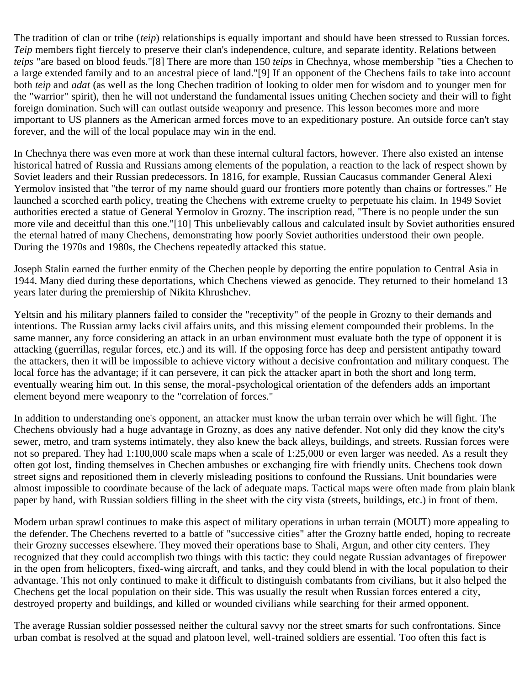The tradition of clan or tribe (*teip*) relationships is equally important and should have been stressed to Russian forces. *Teip* members fight fiercely to preserve their clan's independence, culture, and separate identity. Relations between *teips* "are based on blood feuds."[8] There are more than 150 *teips* in Chechnya, whose membership "ties a Chechen to a large extended family and to an ancestral piece of land."[9] If an opponent of the Chechens fails to take into account both *teip* and *adat* (as well as the long Chechen tradition of looking to older men for wisdom and to younger men for the "warrior" spirit), then he will not understand the fundamental issues uniting Chechen society and their will to fight foreign domination. Such will can outlast outside weaponry and presence. This lesson becomes more and more important to US planners as the American armed forces move to an expeditionary posture. An outside force can't stay forever, and the will of the local populace may win in the end.

In Chechnya there was even more at work than these internal cultural factors, however. There also existed an intense historical hatred of Russia and Russians among elements of the population, a reaction to the lack of respect shown by Soviet leaders and their Russian predecessors. In 1816, for example, Russian Caucasus commander General Alexi Yermolov insisted that "the terror of my name should guard our frontiers more potently than chains or fortresses." He launched a scorched earth policy, treating the Chechens with extreme cruelty to perpetuate his claim. In 1949 Soviet authorities erected a statue of General Yermolov in Grozny. The inscription read, "There is no people under the sun more vile and deceitful than this one."[10] This unbelievably callous and calculated insult by Soviet authorities ensured the eternal hatred of many Chechens, demonstrating how poorly Soviet authorities understood their own people. During the 1970s and 1980s, the Chechens repeatedly attacked this statue.

Joseph Stalin earned the further enmity of the Chechen people by deporting the entire population to Central Asia in 1944. Many died during these deportations, which Chechens viewed as genocide. They returned to their homeland 13 years later during the premiership of Nikita Khrushchev.

Yeltsin and his military planners failed to consider the "receptivity" of the people in Grozny to their demands and intentions. The Russian army lacks civil affairs units, and this missing element compounded their problems. In the same manner, any force considering an attack in an urban environment must evaluate both the type of opponent it is attacking (guerrillas, regular forces, etc.) and its will. If the opposing force has deep and persistent antipathy toward the attackers, then it will be impossible to achieve victory without a decisive confrontation and military conquest. The local force has the advantage; if it can persevere, it can pick the attacker apart in both the short and long term, eventually wearing him out. In this sense, the moral-psychological orientation of the defenders adds an important element beyond mere weaponry to the "correlation of forces."

In addition to understanding one's opponent, an attacker must know the urban terrain over which he will fight. The Chechens obviously had a huge advantage in Grozny, as does any native defender. Not only did they know the city's sewer, metro, and tram systems intimately, they also knew the back alleys, buildings, and streets. Russian forces were not so prepared. They had 1:100,000 scale maps when a scale of 1:25,000 or even larger was needed. As a result they often got lost, finding themselves in Chechen ambushes or exchanging fire with friendly units. Chechens took down street signs and repositioned them in cleverly misleading positions to confound the Russians. Unit boundaries were almost impossible to coordinate because of the lack of adequate maps. Tactical maps were often made from plain blank paper by hand, with Russian soldiers filling in the sheet with the city vista (streets, buildings, etc.) in front of them.

Modern urban sprawl continues to make this aspect of military operations in urban terrain (MOUT) more appealing to the defender. The Chechens reverted to a battle of "successive cities" after the Grozny battle ended, hoping to recreate their Grozny successes elsewhere. They moved their operations base to Shali, Argun, and other city centers. They recognized that they could accomplish two things with this tactic: they could negate Russian advantages of firepower in the open from helicopters, fixed-wing aircraft, and tanks, and they could blend in with the local population to their advantage. This not only continued to make it difficult to distinguish combatants from civilians, but it also helped the Chechens get the local population on their side. This was usually the result when Russian forces entered a city, destroyed property and buildings, and killed or wounded civilians while searching for their armed opponent.

The average Russian soldier possessed neither the cultural savvy nor the street smarts for such confrontations. Since urban combat is resolved at the squad and platoon level, well-trained soldiers are essential. Too often this fact is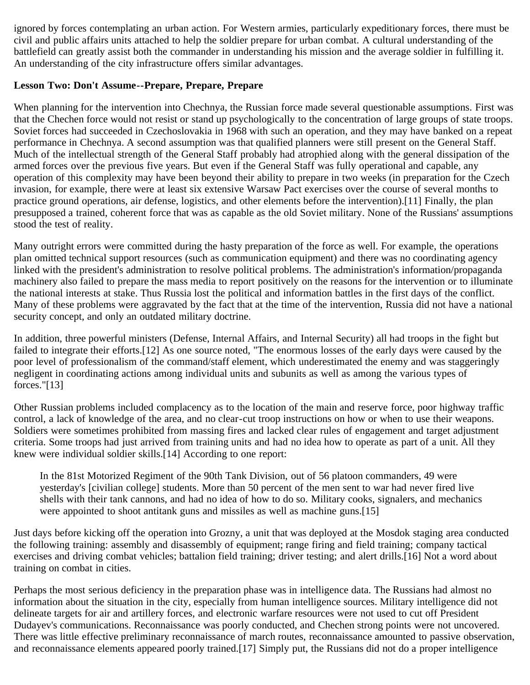ignored by forces contemplating an urban action. For Western armies, particularly expeditionary forces, there must be civil and public affairs units attached to help the soldier prepare for urban combat. A cultural understanding of the battlefield can greatly assist both the commander in understanding his mission and the average soldier in fulfilling it. An understanding of the city infrastructure offers similar advantages.

## **Lesson Two: Don't Assume--Prepare, Prepare, Prepare**

When planning for the intervention into Chechnya, the Russian force made several questionable assumptions. First was that the Chechen force would not resist or stand up psychologically to the concentration of large groups of state troops. Soviet forces had succeeded in Czechoslovakia in 1968 with such an operation, and they may have banked on a repeat performance in Chechnya. A second assumption was that qualified planners were still present on the General Staff. Much of the intellectual strength of the General Staff probably had atrophied along with the general dissipation of the armed forces over the previous five years. But even if the General Staff was fully operational and capable, any operation of this complexity may have been beyond their ability to prepare in two weeks (in preparation for the Czech invasion, for example, there were at least six extensive Warsaw Pact exercises over the course of several months to practice ground operations, air defense, logistics, and other elements before the intervention).[11] Finally, the plan presupposed a trained, coherent force that was as capable as the old Soviet military. None of the Russians' assumptions stood the test of reality.

Many outright errors were committed during the hasty preparation of the force as well. For example, the operations plan omitted technical support resources (such as communication equipment) and there was no coordinating agency linked with the president's administration to resolve political problems. The administration's information/propaganda machinery also failed to prepare the mass media to report positively on the reasons for the intervention or to illuminate the national interests at stake. Thus Russia lost the political and information battles in the first days of the conflict. Many of these problems were aggravated by the fact that at the time of the intervention, Russia did not have a national security concept, and only an outdated military doctrine.

In addition, three powerful ministers (Defense, Internal Affairs, and Internal Security) all had troops in the fight but failed to integrate their efforts.[12] As one source noted, "The enormous losses of the early days were caused by the poor level of professionalism of the command/staff element, which underestimated the enemy and was staggeringly negligent in coordinating actions among individual units and subunits as well as among the various types of forces."[13]

Other Russian problems included complacency as to the location of the main and reserve force, poor highway traffic control, a lack of knowledge of the area, and no clear-cut troop instructions on how or when to use their weapons. Soldiers were sometimes prohibited from massing fires and lacked clear rules of engagement and target adjustment criteria. Some troops had just arrived from training units and had no idea how to operate as part of a unit. All they knew were individual soldier skills.[14] According to one report:

In the 81st Motorized Regiment of the 90th Tank Division, out of 56 platoon commanders, 49 were yesterday's [civilian college] students. More than 50 percent of the men sent to war had never fired live shells with their tank cannons, and had no idea of how to do so. Military cooks, signalers, and mechanics were appointed to shoot antitank guns and missiles as well as machine guns.[15]

Just days before kicking off the operation into Grozny, a unit that was deployed at the Mosdok staging area conducted the following training: assembly and disassembly of equipment; range firing and field training; company tactical exercises and driving combat vehicles; battalion field training; driver testing; and alert drills.[16] Not a word about training on combat in cities.

Perhaps the most serious deficiency in the preparation phase was in intelligence data. The Russians had almost no information about the situation in the city, especially from human intelligence sources. Military intelligence did not delineate targets for air and artillery forces, and electronic warfare resources were not used to cut off President Dudayev's communications. Reconnaissance was poorly conducted, and Chechen strong points were not uncovered. There was little effective preliminary reconnaissance of march routes, reconnaissance amounted to passive observation, and reconnaissance elements appeared poorly trained.[17] Simply put, the Russians did not do a proper intelligence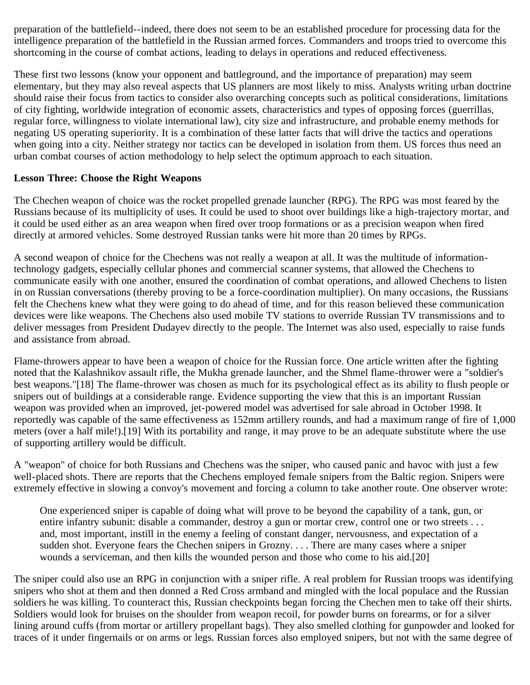preparation of the battlefield--indeed, there does not seem to be an established procedure for processing data for the intelligence preparation of the battlefield in the Russian armed forces. Commanders and troops tried to overcome this shortcoming in the course of combat actions, leading to delays in operations and reduced effectiveness.

These first two lessons (know your opponent and battleground, and the importance of preparation) may seem elementary, but they may also reveal aspects that US planners are most likely to miss. Analysts writing urban doctrine should raise their focus from tactics to consider also overarching concepts such as political considerations, limitations of city fighting, worldwide integration of economic assets, characteristics and types of opposing forces (guerrillas, regular force, willingness to violate international law), city size and infrastructure, and probable enemy methods for negating US operating superiority. It is a combination of these latter facts that will drive the tactics and operations when going into a city. Neither strategy nor tactics can be developed in isolation from them. US forces thus need an urban combat courses of action methodology to help select the optimum approach to each situation.

## **Lesson Three: Choose the Right Weapons**

The Chechen weapon of choice was the rocket propelled grenade launcher (RPG). The RPG was most feared by the Russians because of its multiplicity of uses. It could be used to shoot over buildings like a high-trajectory mortar, and it could be used either as an area weapon when fired over troop formations or as a precision weapon when fired directly at armored vehicles. Some destroyed Russian tanks were hit more than 20 times by RPGs.

A second weapon of choice for the Chechens was not really a weapon at all. It was the multitude of informationtechnology gadgets, especially cellular phones and commercial scanner systems, that allowed the Chechens to communicate easily with one another, ensured the coordination of combat operations, and allowed Chechens to listen in on Russian conversations (thereby proving to be a force-coordination multiplier). On many occasions, the Russians felt the Chechens knew what they were going to do ahead of time, and for this reason believed these communication devices were like weapons. The Chechens also used mobile TV stations to override Russian TV transmissions and to deliver messages from President Dudayev directly to the people. The Internet was also used, especially to raise funds and assistance from abroad.

Flame-throwers appear to have been a weapon of choice for the Russian force. One article written after the fighting noted that the Kalashnikov assault rifle, the Mukha grenade launcher, and the Shmel flame-thrower were a "soldier's best weapons."[18] The flame-thrower was chosen as much for its psychological effect as its ability to flush people or snipers out of buildings at a considerable range. Evidence supporting the view that this is an important Russian weapon was provided when an improved, jet-powered model was advertised for sale abroad in October 1998. It reportedly was capable of the same effectiveness as 152mm artillery rounds, and had a maximum range of fire of 1,000 meters (over a half mile!).[19] With its portability and range, it may prove to be an adequate substitute where the use of supporting artillery would be difficult.

A "weapon" of choice for both Russians and Chechens was the sniper, who caused panic and havoc with just a few well-placed shots. There are reports that the Chechens employed female snipers from the Baltic region. Snipers were extremely effective in slowing a convoy's movement and forcing a column to take another route. One observer wrote:

One experienced sniper is capable of doing what will prove to be beyond the capability of a tank, gun, or entire infantry subunit: disable a commander, destroy a gun or mortar crew, control one or two streets . . . and, most important, instill in the enemy a feeling of constant danger, nervousness, and expectation of a sudden shot. Everyone fears the Chechen snipers in Grozny. . . . There are many cases where a sniper wounds a serviceman, and then kills the wounded person and those who come to his aid.[20]

The sniper could also use an RPG in conjunction with a sniper rifle. A real problem for Russian troops was identifying snipers who shot at them and then donned a Red Cross armband and mingled with the local populace and the Russian soldiers he was killing. To counteract this, Russian checkpoints began forcing the Chechen men to take off their shirts. Soldiers would look for bruises on the shoulder from weapon recoil, for powder burns on forearms, or for a silver lining around cuffs (from mortar or artillery propellant bags). They also smelled clothing for gunpowder and looked for traces of it under fingernails or on arms or legs. Russian forces also employed snipers, but not with the same degree of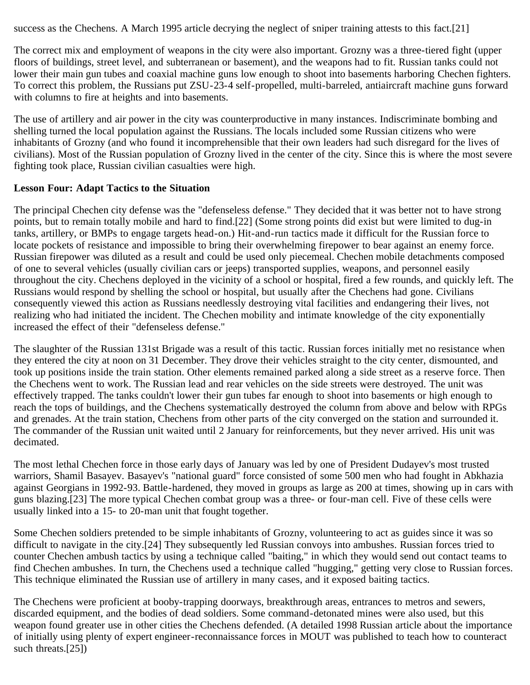success as the Chechens. A March 1995 article decrying the neglect of sniper training attests to this fact.[21]

The correct mix and employment of weapons in the city were also important. Grozny was a three-tiered fight (upper floors of buildings, street level, and subterranean or basement), and the weapons had to fit. Russian tanks could not lower their main gun tubes and coaxial machine guns low enough to shoot into basements harboring Chechen fighters. To correct this problem, the Russians put ZSU-23-4 self-propelled, multi-barreled, antiaircraft machine guns forward with columns to fire at heights and into basements.

The use of artillery and air power in the city was counterproductive in many instances. Indiscriminate bombing and shelling turned the local population against the Russians. The locals included some Russian citizens who were inhabitants of Grozny (and who found it incomprehensible that their own leaders had such disregard for the lives of civilians). Most of the Russian population of Grozny lived in the center of the city. Since this is where the most severe fighting took place, Russian civilian casualties were high.

## **Lesson Four: Adapt Tactics to the Situation**

The principal Chechen city defense was the "defenseless defense." They decided that it was better not to have strong points, but to remain totally mobile and hard to find.[22] (Some strong points did exist but were limited to dug-in tanks, artillery, or BMPs to engage targets head-on.) Hit-and-run tactics made it difficult for the Russian force to locate pockets of resistance and impossible to bring their overwhelming firepower to bear against an enemy force. Russian firepower was diluted as a result and could be used only piecemeal. Chechen mobile detachments composed of one to several vehicles (usually civilian cars or jeeps) transported supplies, weapons, and personnel easily throughout the city. Chechens deployed in the vicinity of a school or hospital, fired a few rounds, and quickly left. The Russians would respond by shelling the school or hospital, but usually after the Chechens had gone. Civilians consequently viewed this action as Russians needlessly destroying vital facilities and endangering their lives, not realizing who had initiated the incident. The Chechen mobility and intimate knowledge of the city exponentially increased the effect of their "defenseless defense."

The slaughter of the Russian 131st Brigade was a result of this tactic. Russian forces initially met no resistance when they entered the city at noon on 31 December. They drove their vehicles straight to the city center, dismounted, and took up positions inside the train station. Other elements remained parked along a side street as a reserve force. Then the Chechens went to work. The Russian lead and rear vehicles on the side streets were destroyed. The unit was effectively trapped. The tanks couldn't lower their gun tubes far enough to shoot into basements or high enough to reach the tops of buildings, and the Chechens systematically destroyed the column from above and below with RPGs and grenades. At the train station, Chechens from other parts of the city converged on the station and surrounded it. The commander of the Russian unit waited until 2 January for reinforcements, but they never arrived. His unit was decimated.

The most lethal Chechen force in those early days of January was led by one of President Dudayev's most trusted warriors, Shamil Basayev. Basayev's "national guard" force consisted of some 500 men who had fought in Abkhazia against Georgians in 1992-93. Battle-hardened, they moved in groups as large as 200 at times, showing up in cars with guns blazing.[23] The more typical Chechen combat group was a three- or four-man cell. Five of these cells were usually linked into a 15- to 20-man unit that fought together.

Some Chechen soldiers pretended to be simple inhabitants of Grozny, volunteering to act as guides since it was so difficult to navigate in the city.[24] They subsequently led Russian convoys into ambushes. Russian forces tried to counter Chechen ambush tactics by using a technique called "baiting," in which they would send out contact teams to find Chechen ambushes. In turn, the Chechens used a technique called "hugging," getting very close to Russian forces. This technique eliminated the Russian use of artillery in many cases, and it exposed baiting tactics.

The Chechens were proficient at booby-trapping doorways, breakthrough areas, entrances to metros and sewers, discarded equipment, and the bodies of dead soldiers. Some command-detonated mines were also used, but this weapon found greater use in other cities the Chechens defended. (A detailed 1998 Russian article about the importance of initially using plenty of expert engineer-reconnaissance forces in MOUT was published to teach how to counteract such threats.<sup>[25]</sup>)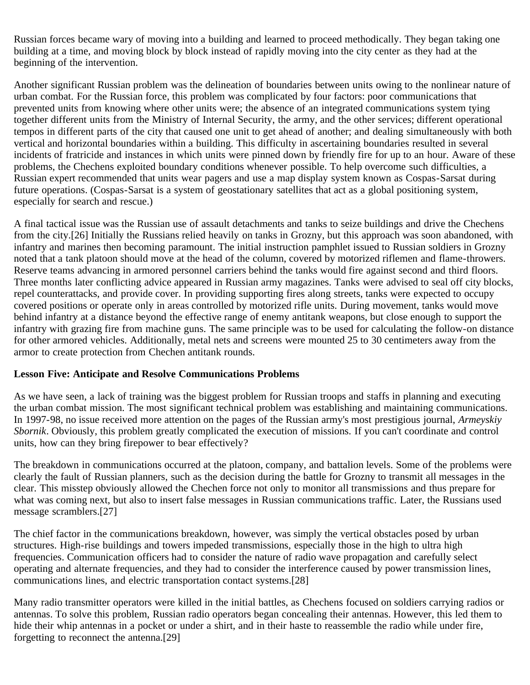Russian forces became wary of moving into a building and learned to proceed methodically. They began taking one building at a time, and moving block by block instead of rapidly moving into the city center as they had at the beginning of the intervention.

Another significant Russian problem was the delineation of boundaries between units owing to the nonlinear nature of urban combat. For the Russian force, this problem was complicated by four factors: poor communications that prevented units from knowing where other units were; the absence of an integrated communications system tying together different units from the Ministry of Internal Security, the army, and the other services; different operational tempos in different parts of the city that caused one unit to get ahead of another; and dealing simultaneously with both vertical and horizontal boundaries within a building. This difficulty in ascertaining boundaries resulted in several incidents of fratricide and instances in which units were pinned down by friendly fire for up to an hour. Aware of these problems, the Chechens exploited boundary conditions whenever possible. To help overcome such difficulties, a Russian expert recommended that units wear pagers and use a map display system known as Cospas-Sarsat during future operations. (Cospas-Sarsat is a system of geostationary satellites that act as a global positioning system, especially for search and rescue.)

A final tactical issue was the Russian use of assault detachments and tanks to seize buildings and drive the Chechens from the city.[26] Initially the Russians relied heavily on tanks in Grozny, but this approach was soon abandoned, with infantry and marines then becoming paramount. The initial instruction pamphlet issued to Russian soldiers in Grozny noted that a tank platoon should move at the head of the column, covered by motorized riflemen and flame-throwers. Reserve teams advancing in armored personnel carriers behind the tanks would fire against second and third floors. Three months later conflicting advice appeared in Russian army magazines. Tanks were advised to seal off city blocks, repel counterattacks, and provide cover. In providing supporting fires along streets, tanks were expected to occupy covered positions or operate only in areas controlled by motorized rifle units. During movement, tanks would move behind infantry at a distance beyond the effective range of enemy antitank weapons, but close enough to support the infantry with grazing fire from machine guns. The same principle was to be used for calculating the follow-on distance for other armored vehicles. Additionally, metal nets and screens were mounted 25 to 30 centimeters away from the armor to create protection from Chechen antitank rounds.

#### **Lesson Five: Anticipate and Resolve Communications Problems**

As we have seen, a lack of training was the biggest problem for Russian troops and staffs in planning and executing the urban combat mission. The most significant technical problem was establishing and maintaining communications. In 1997-98, no issue received more attention on the pages of the Russian army's most prestigious journal, *Armeyskiy Sbornik*. Obviously, this problem greatly complicated the execution of missions. If you can't coordinate and control units, how can they bring firepower to bear effectively?

The breakdown in communications occurred at the platoon, company, and battalion levels. Some of the problems were clearly the fault of Russian planners, such as the decision during the battle for Grozny to transmit all messages in the clear. This misstep obviously allowed the Chechen force not only to monitor all transmissions and thus prepare for what was coming next, but also to insert false messages in Russian communications traffic. Later, the Russians used message scramblers.[27]

The chief factor in the communications breakdown, however, was simply the vertical obstacles posed by urban structures. High-rise buildings and towers impeded transmissions, especially those in the high to ultra high frequencies. Communication officers had to consider the nature of radio wave propagation and carefully select operating and alternate frequencies, and they had to consider the interference caused by power transmission lines, communications lines, and electric transportation contact systems.[28]

Many radio transmitter operators were killed in the initial battles, as Chechens focused on soldiers carrying radios or antennas. To solve this problem, Russian radio operators began concealing their antennas. However, this led them to hide their whip antennas in a pocket or under a shirt, and in their haste to reassemble the radio while under fire, forgetting to reconnect the antenna.[29]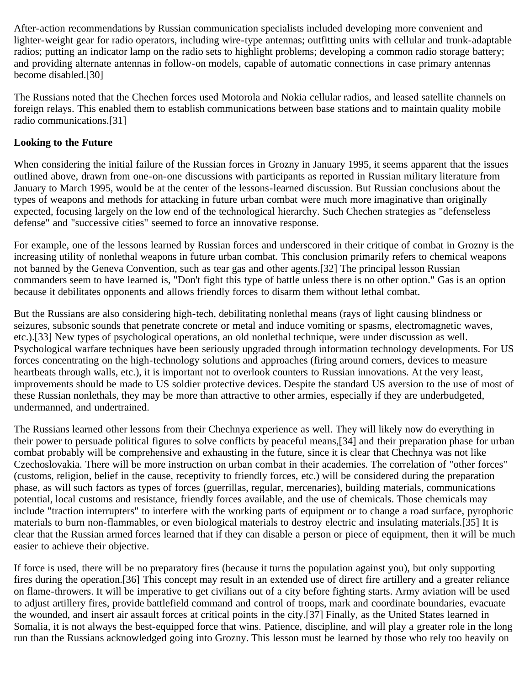After-action recommendations by Russian communication specialists included developing more convenient and lighter-weight gear for radio operators, including wire-type antennas; outfitting units with cellular and trunk-adaptable radios; putting an indicator lamp on the radio sets to highlight problems; developing a common radio storage battery; and providing alternate antennas in follow-on models, capable of automatic connections in case primary antennas become disabled.[30]

The Russians noted that the Chechen forces used Motorola and Nokia cellular radios, and leased satellite channels on foreign relays. This enabled them to establish communications between base stations and to maintain quality mobile radio communications.[31]

## **Looking to the Future**

When considering the initial failure of the Russian forces in Grozny in January 1995, it seems apparent that the issues outlined above, drawn from one-on-one discussions with participants as reported in Russian military literature from January to March 1995, would be at the center of the lessons-learned discussion. But Russian conclusions about the types of weapons and methods for attacking in future urban combat were much more imaginative than originally expected, focusing largely on the low end of the technological hierarchy. Such Chechen strategies as "defenseless defense" and "successive cities" seemed to force an innovative response.

For example, one of the lessons learned by Russian forces and underscored in their critique of combat in Grozny is the increasing utility of nonlethal weapons in future urban combat. This conclusion primarily refers to chemical weapons not banned by the Geneva Convention, such as tear gas and other agents.[32] The principal lesson Russian commanders seem to have learned is, "Don't fight this type of battle unless there is no other option." Gas is an option because it debilitates opponents and allows friendly forces to disarm them without lethal combat.

But the Russians are also considering high-tech, debilitating nonlethal means (rays of light causing blindness or seizures, subsonic sounds that penetrate concrete or metal and induce vomiting or spasms, electromagnetic waves, etc.).[33] New types of psychological operations, an old nonlethal technique, were under discussion as well. Psychological warfare techniques have been seriously upgraded through information technology developments. For US forces concentrating on the high-technology solutions and approaches (firing around corners, devices to measure heartbeats through walls, etc.), it is important not to overlook counters to Russian innovations. At the very least, improvements should be made to US soldier protective devices. Despite the standard US aversion to the use of most of these Russian nonlethals, they may be more than attractive to other armies, especially if they are underbudgeted, undermanned, and undertrained.

The Russians learned other lessons from their Chechnya experience as well. They will likely now do everything in their power to persuade political figures to solve conflicts by peaceful means,[34] and their preparation phase for urban combat probably will be comprehensive and exhausting in the future, since it is clear that Chechnya was not like Czechoslovakia. There will be more instruction on urban combat in their academies. The correlation of "other forces" (customs, religion, belief in the cause, receptivity to friendly forces, etc.) will be considered during the preparation phase, as will such factors as types of forces (guerrillas, regular, mercenaries), building materials, communications potential, local customs and resistance, friendly forces available, and the use of chemicals. Those chemicals may include "traction interrupters" to interfere with the working parts of equipment or to change a road surface, pyrophoric materials to burn non-flammables, or even biological materials to destroy electric and insulating materials.[35] It is clear that the Russian armed forces learned that if they can disable a person or piece of equipment, then it will be much easier to achieve their objective.

If force is used, there will be no preparatory fires (because it turns the population against you), but only supporting fires during the operation.[36] This concept may result in an extended use of direct fire artillery and a greater reliance on flame-throwers. It will be imperative to get civilians out of a city before fighting starts. Army aviation will be used to adjust artillery fires, provide battlefield command and control of troops, mark and coordinate boundaries, evacuate the wounded, and insert air assault forces at critical points in the city.[37] Finally, as the United States learned in Somalia, it is not always the best-equipped force that wins. Patience, discipline, and will play a greater role in the long run than the Russians acknowledged going into Grozny. This lesson must be learned by those who rely too heavily on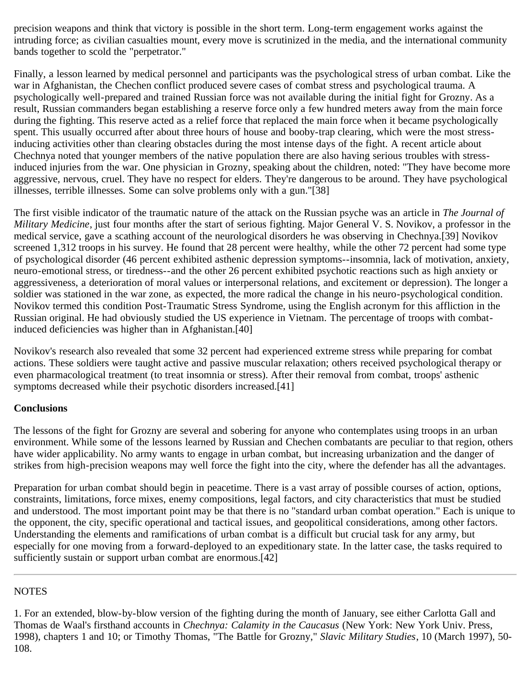precision weapons and think that victory is possible in the short term. Long-term engagement works against the intruding force; as civilian casualties mount, every move is scrutinized in the media, and the international community bands together to scold the "perpetrator."

Finally, a lesson learned by medical personnel and participants was the psychological stress of urban combat. Like the war in Afghanistan, the Chechen conflict produced severe cases of combat stress and psychological trauma. A psychologically well-prepared and trained Russian force was not available during the initial fight for Grozny. As a result, Russian commanders began establishing a reserve force only a few hundred meters away from the main force during the fighting. This reserve acted as a relief force that replaced the main force when it became psychologically spent. This usually occurred after about three hours of house and booby-trap clearing, which were the most stressinducing activities other than clearing obstacles during the most intense days of the fight. A recent article about Chechnya noted that younger members of the native population there are also having serious troubles with stressinduced injuries from the war. One physician in Grozny, speaking about the children, noted: "They have become more aggressive, nervous, cruel. They have no respect for elders. They're dangerous to be around. They have psychological illnesses, terrible illnesses. Some can solve problems only with a gun."[38]

The first visible indicator of the traumatic nature of the attack on the Russian psyche was an article in *The Journal of Military Medicine*, just four months after the start of serious fighting. Major General V. S. Novikov, a professor in the medical service, gave a scathing account of the neurological disorders he was observing in Chechnya.[39] Novikov screened 1,312 troops in his survey. He found that 28 percent were healthy, while the other 72 percent had some type of psychological disorder (46 percent exhibited asthenic depression symptoms--insomnia, lack of motivation, anxiety, neuro-emotional stress, or tiredness--and the other 26 percent exhibited psychotic reactions such as high anxiety or aggressiveness, a deterioration of moral values or interpersonal relations, and excitement or depression). The longer a soldier was stationed in the war zone, as expected, the more radical the change in his neuro-psychological condition. Novikov termed this condition Post-Traumatic Stress Syndrome, using the English acronym for this affliction in the Russian original. He had obviously studied the US experience in Vietnam. The percentage of troops with combatinduced deficiencies was higher than in Afghanistan.[40]

Novikov's research also revealed that some 32 percent had experienced extreme stress while preparing for combat actions. These soldiers were taught active and passive muscular relaxation; others received psychological therapy or even pharmacological treatment (to treat insomnia or stress). After their removal from combat, troops' asthenic symptoms decreased while their psychotic disorders increased.[41]

## **Conclusions**

The lessons of the fight for Grozny are several and sobering for anyone who contemplates using troops in an urban environment. While some of the lessons learned by Russian and Chechen combatants are peculiar to that region, others have wider applicability. No army wants to engage in urban combat, but increasing urbanization and the danger of strikes from high-precision weapons may well force the fight into the city, where the defender has all the advantages.

Preparation for urban combat should begin in peacetime. There is a vast array of possible courses of action, options, constraints, limitations, force mixes, enemy compositions, legal factors, and city characteristics that must be studied and understood. The most important point may be that there is no "standard urban combat operation." Each is unique to the opponent, the city, specific operational and tactical issues, and geopolitical considerations, among other factors. Understanding the elements and ramifications of urban combat is a difficult but crucial task for any army, but especially for one moving from a forward-deployed to an expeditionary state. In the latter case, the tasks required to sufficiently sustain or support urban combat are enormous.[42]

## **NOTES**

1. For an extended, blow-by-blow version of the fighting during the month of January, see either Carlotta Gall and Thomas de Waal's firsthand accounts in *Chechnya: Calamity in the Caucasus* (New York: New York Univ. Press, 1998), chapters 1 and 10; or Timothy Thomas, "The Battle for Grozny," *Slavic Military Studies*, 10 (March 1997), 50- 108.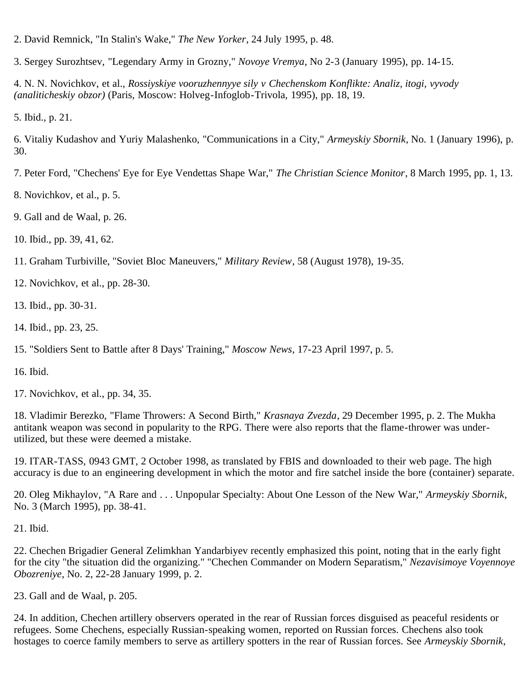2. David Remnick, "In Stalin's Wake," *The New Yorker*, 24 July 1995, p. 48.

3. Sergey Surozhtsev, "Legendary Army in Grozny," *Novoye Vremya*, No 2-3 (January 1995), pp. 14-15.

4. N. N. Novichkov, et al., *Rossiyskiye vooruzhennyye sily v Chechenskom Konflikte: Analiz, itogi, vyvody (analiticheskiy obzor)* (Paris, Moscow: Holveg-Infoglob-Trivola, 1995), pp. 18, 19.

5. Ibid., p. 21.

6. Vitaliy Kudashov and Yuriy Malashenko, "Communications in a City," *Armeyskiy Sbornik*, No. 1 (January 1996), p. 30.

7. Peter Ford, "Chechens' Eye for Eye Vendettas Shape War," *The Christian Science Monitor*, 8 March 1995, pp. 1, 13.

8. Novichkov, et al., p. 5.

9. Gall and de Waal, p. 26.

10. Ibid., pp. 39, 41, 62.

11. Graham Turbiville, "Soviet Bloc Maneuvers," *Military Review*, 58 (August 1978), 19-35.

12. Novichkov, et al., pp. 28-30.

13. Ibid., pp. 30-31.

14. Ibid., pp. 23, 25.

15. "Soldiers Sent to Battle after 8 Days' Training," *Moscow News*, 17-23 April 1997, p. 5.

16. Ibid.

17. Novichkov, et al., pp. 34, 35.

18. Vladimir Berezko, "Flame Throwers: A Second Birth," *Krasnaya Zvezda*, 29 December 1995, p. 2. The Mukha antitank weapon was second in popularity to the RPG. There were also reports that the flame-thrower was underutilized, but these were deemed a mistake.

19. ITAR-TASS, 0943 GMT, 2 October 1998, as translated by FBIS and downloaded to their web page. The high accuracy is due to an engineering development in which the motor and fire satchel inside the bore (container) separate.

20. Oleg Mikhaylov, "A Rare and . . . Unpopular Specialty: About One Lesson of the New War," *Armeyskiy Sbornik*, No. 3 (March 1995), pp. 38-41.

21. Ibid.

22. Chechen Brigadier General Zelimkhan Yandarbiyev recently emphasized this point, noting that in the early fight for the city "the situation did the organizing." "Chechen Commander on Modern Separatism," *Nezavisimoye Voyennoye Obozreniye*, No. 2, 22-28 January 1999, p. 2.

23. Gall and de Waal, p. 205.

24. In addition, Chechen artillery observers operated in the rear of Russian forces disguised as peaceful residents or refugees. Some Chechens, especially Russian-speaking women, reported on Russian forces. Chechens also took hostages to coerce family members to serve as artillery spotters in the rear of Russian forces. See *Armeyskiy Sbornik*,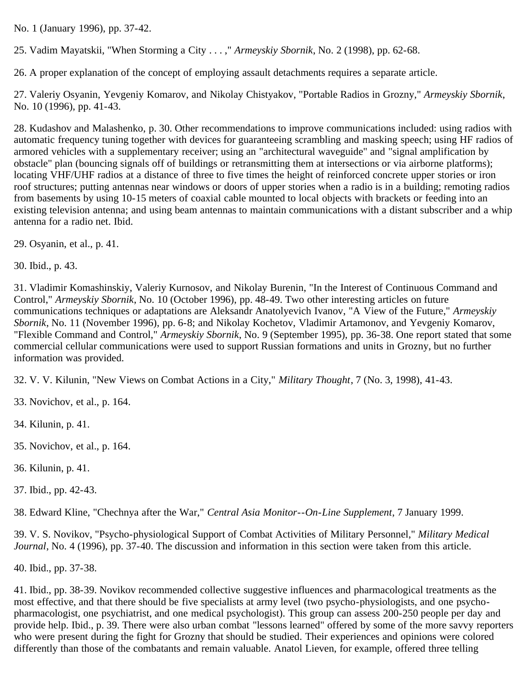No. 1 (January 1996), pp. 37-42.

25. Vadim Mayatskii, "When Storming a City . . . ," *Armeyskiy Sbornik*, No. 2 (1998), pp. 62-68.

26. A proper explanation of the concept of employing assault detachments requires a separate article.

27. Valeriy Osyanin, Yevgeniy Komarov, and Nikolay Chistyakov, "Portable Radios in Grozny," *Armeyskiy Sbornik*, No. 10 (1996), pp. 41-43.

28. Kudashov and Malashenko, p. 30. Other recommendations to improve communications included: using radios with automatic frequency tuning together with devices for guaranteeing scrambling and masking speech; using HF radios of armored vehicles with a supplementary receiver; using an "architectural waveguide" and "signal amplification by obstacle" plan (bouncing signals off of buildings or retransmitting them at intersections or via airborne platforms); locating VHF/UHF radios at a distance of three to five times the height of reinforced concrete upper stories or iron roof structures; putting antennas near windows or doors of upper stories when a radio is in a building; remoting radios from basements by using 10-15 meters of coaxial cable mounted to local objects with brackets or feeding into an existing television antenna; and using beam antennas to maintain communications with a distant subscriber and a whip antenna for a radio net. Ibid.

29. Osyanin, et al., p. 41.

30. Ibid., p. 43.

31. Vladimir Komashinskiy, Valeriy Kurnosov, and Nikolay Burenin, "In the Interest of Continuous Command and Control," *Armeyskiy Sbornik*, No. 10 (October 1996), pp. 48-49. Two other interesting articles on future communications techniques or adaptations are Aleksandr Anatolyevich Ivanov, "A View of the Future," *Armeyskiy Sbornik*, No. 11 (November 1996), pp. 6-8; and Nikolay Kochetov, Vladimir Artamonov, and Yevgeniy Komarov, "Flexible Command and Control," *Armeyskiy Sbornik*, No. 9 (September 1995), pp. 36-38. One report stated that some commercial cellular communications were used to support Russian formations and units in Grozny, but no further information was provided.

32. V. V. Kilunin, "New Views on Combat Actions in a City," *Military Thought*, 7 (No. 3, 1998), 41-43.

33. Novichov, et al., p. 164.

34. Kilunin, p. 41.

- 35. Novichov, et al., p. 164.
- 36. Kilunin, p. 41.
- 37. Ibid., pp. 42-43.

38. Edward Kline, "Chechnya after the War," *Central Asia Monitor--On-Line Supplement*, 7 January 1999.

39. V. S. Novikov, "Psycho-physiological Support of Combat Activities of Military Personnel," *Military Medical Journal*, No. 4 (1996), pp. 37-40. The discussion and information in this section were taken from this article.

40. Ibid., pp. 37-38.

41. Ibid., pp. 38-39. Novikov recommended collective suggestive influences and pharmacological treatments as the most effective, and that there should be five specialists at army level (two psycho-physiologists, and one psychopharmacologist, one psychiatrist, and one medical psychologist). This group can assess 200-250 people per day and provide help. Ibid., p. 39. There were also urban combat "lessons learned" offered by some of the more savvy reporters who were present during the fight for Grozny that should be studied. Their experiences and opinions were colored differently than those of the combatants and remain valuable. Anatol Lieven, for example, offered three telling